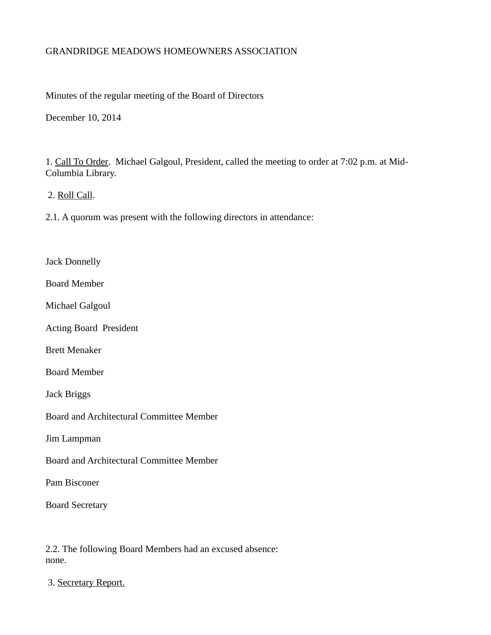### GRANDRIDGE MEADOWS HOMEOWNERS ASSOCIATION

Minutes of the regular meeting of the Board of Directors

December 10, 2014

1. Call To Order. Michael Galgoul, President, called the meeting to order at 7:02 p.m. at Mid-Columbia Library.

2. Roll Call.

2.1. A quorum was present with the following directors in attendance:

Jack Donnelly

Board Member

Michael Galgoul

Acting Board President

Brett Menaker

Board Member

Jack Briggs

Board and Architectural Committee Member

Jim Lampman

Board and Architectural Committee Member

Pam Bisconer

Board Secretary

2.2. The following Board Members had an excused absence: none.

3. Secretary Report.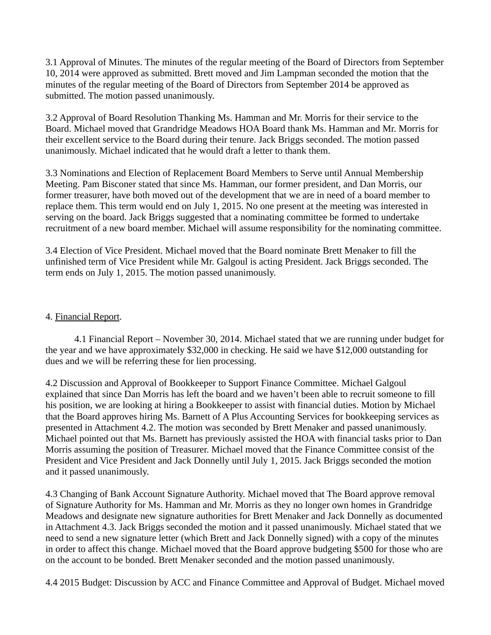3.1 Approval of Minutes. The minutes of the regular meeting of the Board of Directors from September 10, 2014 were approved as submitted. Brett moved and Jim Lampman seconded the motion that the minutes of the regular meeting of the Board of Directors from September 2014 be approved as submitted. The motion passed unanimously.

3.2 Approval of Board Resolution Thanking Ms. Hamman and Mr. Morris for their service to the Board. Michael moved that Grandridge Meadows HOA Board thank Ms. Hamman and Mr. Morris for their excellent service to the Board during their tenure. Jack Briggs seconded. The motion passed unanimously. Michael indicated that he would draft a letter to thank them.

3.3 Nominations and Election of Replacement Board Members to Serve until Annual Membership Meeting. Pam Bisconer stated that since Ms. Hamman, our former president, and Dan Morris, our former treasurer, have both moved out of the development that we are in need of a board member to replace them. This term would end on July 1, 2015. No one present at the meeting was interested in serving on the board. Jack Briggs suggested that a nominating committee be formed to undertake recruitment of a new board member. Michael will assume responsibility for the nominating committee.

3.4 Election of Vice President. Michael moved that the Board nominate Brett Menaker to fill the unfinished term of Vice President while Mr. Galgoul is acting President. Jack Briggs seconded. The term ends on July 1, 2015. The motion passed unanimously.

# 4. Financial Report.

4.1 Financial Report – November 30, 2014. Michael stated that we are running under budget for the year and we have approximately \$32,000 in checking. He said we have \$12,000 outstanding for dues and we will be referring these for lien processing.

4.2 Discussion and Approval of Bookkeeper to Support Finance Committee. Michael Galgoul explained that since Dan Morris has left the board and we haven't been able to recruit someone to fill his position, we are looking at hiring a Bookkeeper to assist with financial duties. Motion by Michael that the Board approves hiring Ms. Barnett of A Plus Accounting Services for bookkeeping services as presented in Attachment 4.2. The motion was seconded by Brett Menaker and passed unanimously. Michael pointed out that Ms. Barnett has previously assisted the HOA with financial tasks prior to Dan Morris assuming the position of Treasurer. Michael moved that the Finance Committee consist of the President and Vice President and Jack Donnelly until July 1, 2015. Jack Briggs seconded the motion and it passed unanimously.

4.3 Changing of Bank Account Signature Authority. Michael moved that The Board approve removal of Signature Authority for Ms. Hamman and Mr. Morris as they no longer own homes in Grandridge Meadows and designate new signature authorities for Brett Menaker and Jack Donnelly as documented in Attachment 4.3. Jack Briggs seconded the motion and it passed unanimously. Michael stated that we need to send a new signature letter (which Brett and Jack Donnelly signed) with a copy of the minutes in order to affect this change. Michael moved that the Board approve budgeting \$500 for those who are on the account to be bonded. Brett Menaker seconded and the motion passed unanimously.

4.4 2015 Budget: Discussion by ACC and Finance Committee and Approval of Budget. Michael moved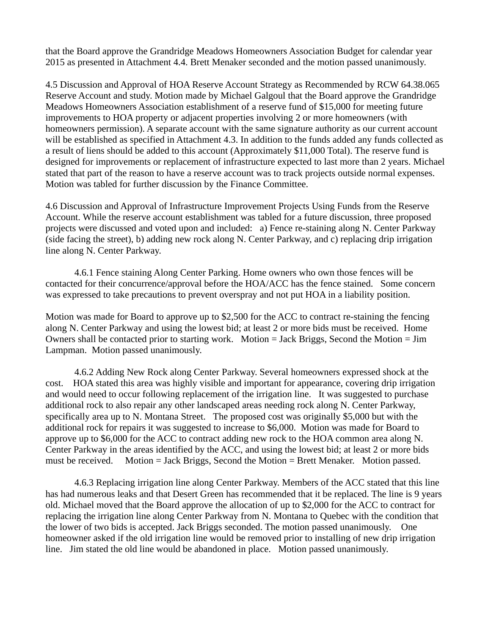that the Board approve the Grandridge Meadows Homeowners Association Budget for calendar year 2015 as presented in Attachment 4.4. Brett Menaker seconded and the motion passed unanimously.

4.5 Discussion and Approval of HOA Reserve Account Strategy as Recommended by RCW 64.38.065 Reserve Account and study. Motion made by Michael Galgoul that the Board approve the Grandridge Meadows Homeowners Association establishment of a reserve fund of \$15,000 for meeting future improvements to HOA property or adjacent properties involving 2 or more homeowners (with homeowners permission). A separate account with the same signature authority as our current account will be established as specified in Attachment 4.3. In addition to the funds added any funds collected as a result of liens should be added to this account (Approximately \$11,000 Total). The reserve fund is designed for improvements or replacement of infrastructure expected to last more than 2 years. Michael stated that part of the reason to have a reserve account was to track projects outside normal expenses. Motion was tabled for further discussion by the Finance Committee.

4.6 Discussion and Approval of Infrastructure Improvement Projects Using Funds from the Reserve Account. While the reserve account establishment was tabled for a future discussion, three proposed projects were discussed and voted upon and included: a) Fence re-staining along N. Center Parkway (side facing the street), b) adding new rock along N. Center Parkway, and c) replacing drip irrigation line along N. Center Parkway.

4.6.1 Fence staining Along Center Parking. Home owners who own those fences will be contacted for their concurrence/approval before the HOA/ACC has the fence stained. Some concern was expressed to take precautions to prevent overspray and not put HOA in a liability position.

Motion was made for Board to approve up to \$2,500 for the ACC to contract re-staining the fencing along N. Center Parkway and using the lowest bid; at least 2 or more bids must be received. Home Owners shall be contacted prior to starting work. Motion = Jack Briggs, Second the Motion = Jim Lampman. Motion passed unanimously.

4.6.2 Adding New Rock along Center Parkway. Several homeowners expressed shock at the cost. HOA stated this area was highly visible and important for appearance, covering drip irrigation and would need to occur following replacement of the irrigation line. It was suggested to purchase additional rock to also repair any other landscaped areas needing rock along N. Center Parkway, specifically area up to N. Montana Street. The proposed cost was originally \$5,000 but with the additional rock for repairs it was suggested to increase to \$6,000. Motion was made for Board to approve up to \$6,000 for the ACC to contract adding new rock to the HOA common area along N. Center Parkway in the areas identified by the ACC, and using the lowest bid; at least 2 or more bids must be received. Motion = Jack Briggs, Second the Motion = Brett Menaker. Motion passed.

4.6.3 Replacing irrigation line along Center Parkway. Members of the ACC stated that this line has had numerous leaks and that Desert Green has recommended that it be replaced. The line is 9 years old. Michael moved that the Board approve the allocation of up to \$2,000 for the ACC to contract for replacing the irrigation line along Center Parkway from N. Montana to Quebec with the condition that the lower of two bids is accepted. Jack Briggs seconded. The motion passed unanimously. One homeowner asked if the old irrigation line would be removed prior to installing of new drip irrigation line. Jim stated the old line would be abandoned in place. Motion passed unanimously.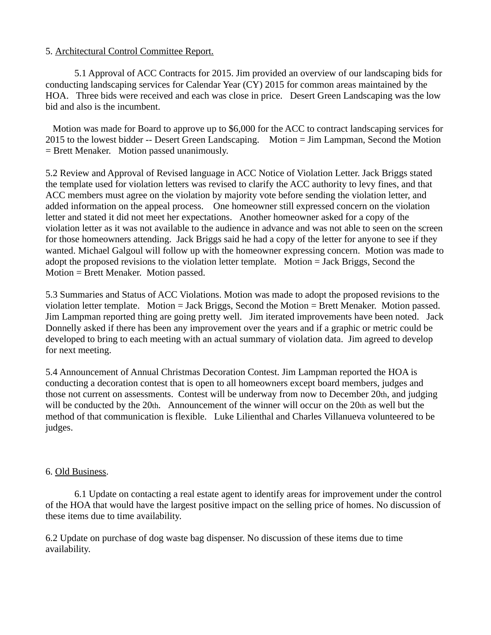### 5. Architectural Control Committee Report.

5.1 Approval of ACC Contracts for 2015. Jim provided an overview of our landscaping bids for conducting landscaping services for Calendar Year (CY) 2015 for common areas maintained by the HOA. Three bids were received and each was close in price. Desert Green Landscaping was the low bid and also is the incumbent.

Motion was made for Board to approve up to \$6,000 for the ACC to contract landscaping services for 2015 to the lowest bidder -- Desert Green Landscaping. Motion = Jim Lampman, Second the Motion = Brett Menaker. Motion passed unanimously.

5.2 Review and Approval of Revised language in ACC Notice of Violation Letter. Jack Briggs stated the template used for violation letters was revised to clarify the ACC authority to levy fines, and that ACC members must agree on the violation by majority vote before sending the violation letter, and added information on the appeal process. One homeowner still expressed concern on the violation letter and stated it did not meet her expectations. Another homeowner asked for a copy of the violation letter as it was not available to the audience in advance and was not able to seen on the screen for those homeowners attending. Jack Briggs said he had a copy of the letter for anyone to see if they wanted. Michael Galgoul will follow up with the homeowner expressing concern. Motion was made to adopt the proposed revisions to the violation letter template. Motion = Jack Briggs, Second the Motion = Brett Menaker. Motion passed.

5.3 Summaries and Status of ACC Violations. Motion was made to adopt the proposed revisions to the violation letter template. Motion = Jack Briggs, Second the Motion = Brett Menaker. Motion passed. Jim Lampman reported thing are going pretty well. Jim iterated improvements have been noted. Jack Donnelly asked if there has been any improvement over the years and if a graphic or metric could be developed to bring to each meeting with an actual summary of violation data. Jim agreed to develop for next meeting.

5.4 Announcement of Annual Christmas Decoration Contest. Jim Lampman reported the HOA is conducting a decoration contest that is open to all homeowners except board members, judges and those not current on assessments. Contest will be underway from now to December 20th, and judging will be conducted by the 20th. Announcement of the winner will occur on the 20th as well but the method of that communication is flexible. Luke Lilienthal and Charles Villanueva volunteered to be judges.

# 6. Old Business.

6.1 Update on contacting a real estate agent to identify areas for improvement under the control of the HOA that would have the largest positive impact on the selling price of homes. No discussion of these items due to time availability.

6.2 Update on purchase of dog waste bag dispenser. No discussion of these items due to time availability.